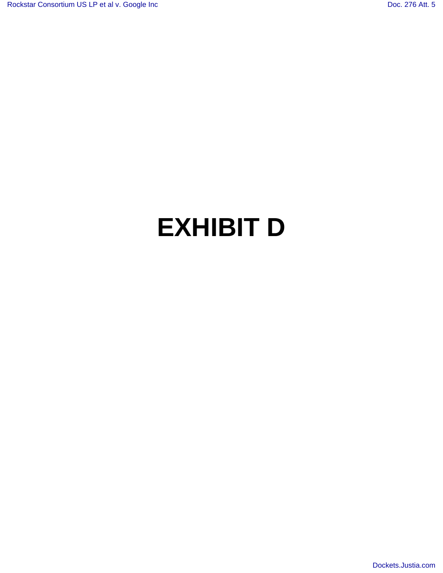## **EXHIBIT D**